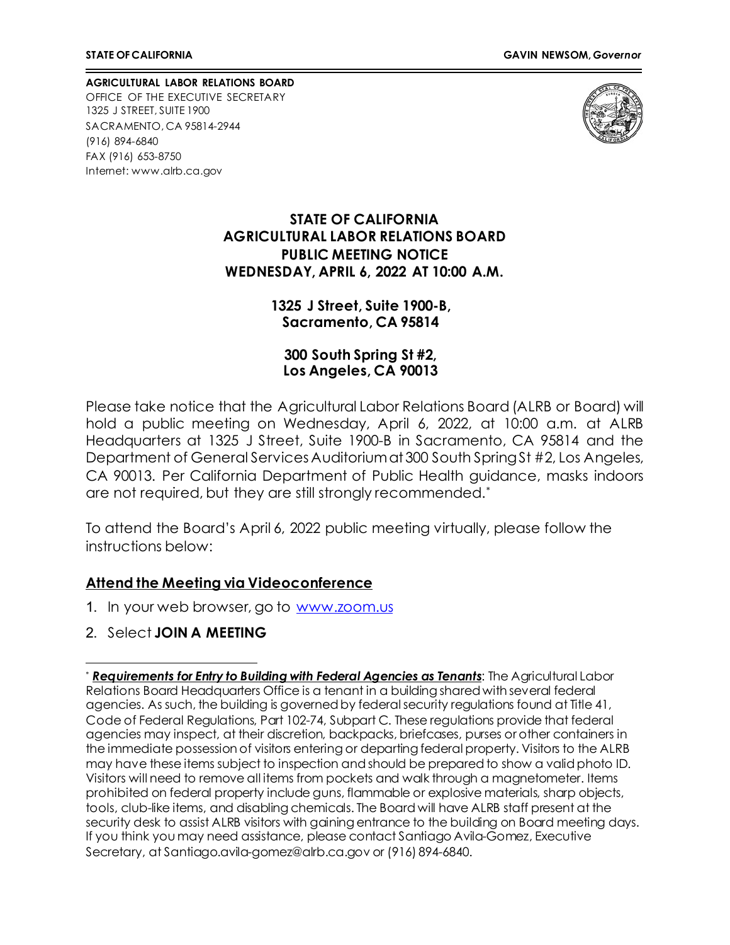**AGRICULTURAL LABOR RELATIONS BOARD** OFFICE OF THE EXECUTIVE SECRETARY 1325 J STREET, SUITE 1900 SACRAMENTO, CA 95814-2944 (916) 894-6840 FAX (916) 653-8750 Internet[: www.alrb.ca.gov](http://www.alrb.ca.gov/)



### **STATE OF CALIFORNIA AGRICULTURAL LABOR RELATIONS BOARD PUBLIC MEETING NOTICE WEDNESDAY, APRIL 6, 2022 AT 10:00 A.M.**

### **1325 J Street, Suite 1900-B, Sacramento, CA 95814**

**300 South Spring St #2, Los Angeles, CA 90013**

Please take notice that the Agricultural Labor Relations Board (ALRB or Board) will hold a public meeting on Wednesday, April 6, 2022, at 10:00 a.m. at ALRB Headquarters at 1325 J Street, Suite 1900-B in Sacramento, CA 95814 and the Department of General Services Auditorium at 300 South Spring St #2, Los Angeles, CA 90013. Per California Department of Public Health guidance, masks indoors are not required, but they are still strongly recommended.[\\*](#page-0-0)

To attend the Board's April 6, 2022 public meeting virtually, please follow the instructions below:

### **Attend the Meeting via Videoconference**

- 1. In your web browser, go to [www.zoom.us](http://www.zoom.us/)
- 2. Select **JOIN A MEETING**

<span id="page-0-0"></span><sup>\*</sup> *Requirements for Entry to Building with Federal Agencies as Tenants*: The Agricultural Labor Relations Board Headquarters Office is a tenant in a building shared with several federal agencies. As such, the building is governed by federal security regulations found at Title 41, Code of Federal Regulations, Part 102-74, Subpart C. These regulations provide that federal agencies may inspect, at their discretion, backpacks, briefcases, purses or other containers in the immediate possession of visitors entering or departing federal property. Visitors to the ALRB may have these items subject to inspection and should be prepared to show a valid photo ID. Visitors will need to remove all items from pockets and walk through a magnetometer. Items prohibited on federal property include guns, flammable or explosive materials, sharp objects, tools, club-like items, and disabling chemicals. The Board will have ALRB staff present at the security desk to assist ALRB visitors with gaining entrance to the building on Board meeting days. If you think you may need assistance, please contact Santiago Avila-Gomez, Executive Secretary, at Santiago.avila-gomez@alrb.ca.gov or (916) 894-6840.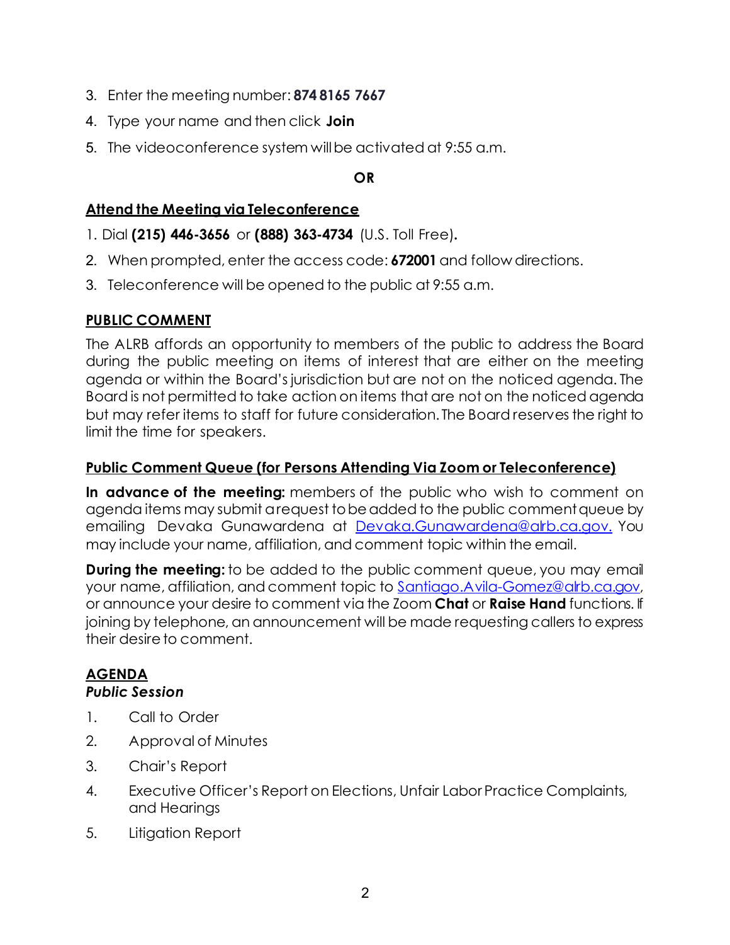- 3. Enter the meeting number: **874 8165 7667**
- 4. Type your name and then click **Join**
- 5. The videoconference system willbe activated at 9:55 a.m.

## **OR**

# **Attend the Meeting via Teleconference**

- 1. Dial **(215) 446-3656** or **(888) 363-4734** (U.S. Toll Free)**.**
- 2. When prompted, enter the access code: **672001** and follow directions.
- 3. Teleconference will be opened to the public at 9:55 a.m.

# **PUBLIC COMMENT**

The ALRB affords an opportunity to members of the public to address the Board during the public meeting on items of interest that are either on the meeting agenda or within the Board's jurisdiction but are not on the noticed agenda. The Board is not permitted to take action on items that are not on the noticed agenda but may refer items to staff for future consideration. The Board reserves the right to limit the time for speakers.

# **Public Comment Queue (for Persons Attending Via Zoom or Teleconference)**

**In advance of the meeting:** members of the public who wish to comment on agenda items may submit a request to be added to the public comment queue by emailing Devaka Gunawardena at [Devaka.Gunawardena@alrb.ca.gov.](mailto:Devaka.Gunawardena@alrb.ca.gov.) You may include your name, affiliation, and comment topic within the email.

**During the meeting:** to be added to the public comment queue, you may email your name, affiliation, and comment topic to [Santiago.Avila-Gomez@alrb.ca.gov,](mailto:Santiago.Avila-Gomez@alrb.ca.gov) or announce your desire to comment via the Zoom **Chat** or **Raise Hand** functions. If joining by telephone, an announcement will be made requesting callers to express their desire to comment.

# **AGENDA**

# *Public Session*

- 1. Call to Order
- 2. Approval of Minutes
- 3. Chair's Report
- 4. Executive Officer's Report on Elections, Unfair Labor Practice Complaints, and Hearings
- 5. Litigation Report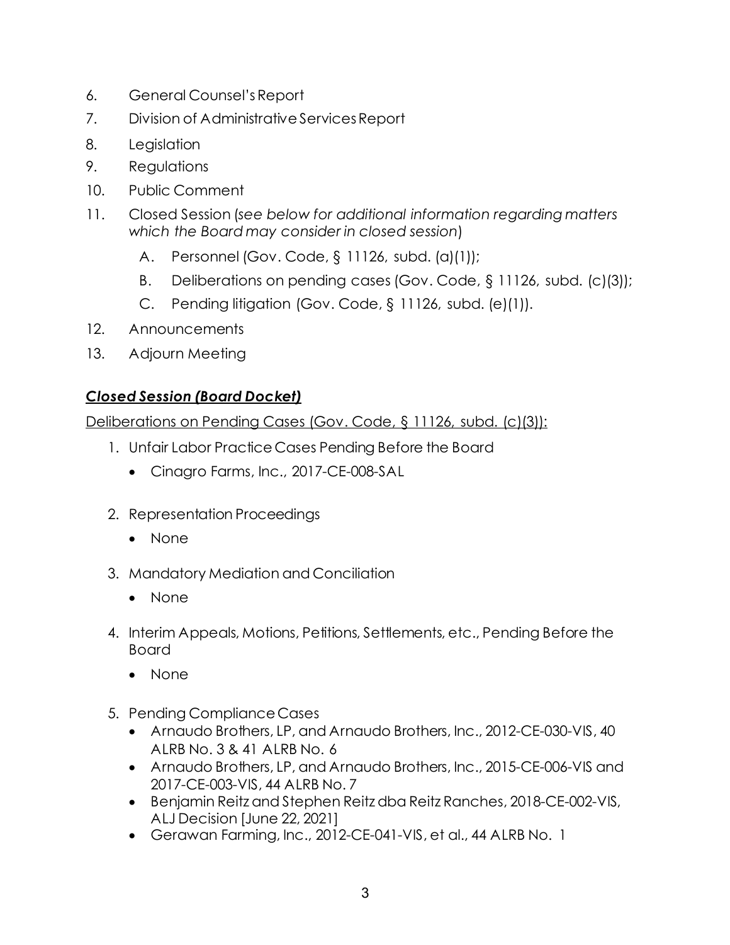- 6. General Counsel'sReport
- 7. Division of Administrative ServicesReport
- 8. Legislation
- 9. Regulations
- 10. Public Comment
- 11. Closed Session (*see below for additional information regarding matters which the Board may consider in closed session*)
	- A. Personnel (Gov. Code, § 11126, subd. (a)(1));
	- B. Deliberations on pending cases (Gov. Code, § 11126, subd. (c)(3));
	- C. Pending litigation (Gov. Code, § 11126, subd. (e)(1)).
- 12. Announcements
- 13. Adjourn Meeting

# *Closed Session (Board Docket)*

Deliberations on Pending Cases (Gov. Code, § 11126, subd. (c)(3)):

- 1. Unfair Labor Practice Cases Pending Before the Board
	- Cinagro Farms, Inc., 2017-CE-008-SAL
- 2. Representation Proceedings
	- None
- 3. Mandatory Mediation and Conciliation
	- None
- 4. Interim Appeals, Motions, Petitions, Settlements, etc., Pending Before the Board
	- None
- 5. Pending Compliance Cases
	- Arnaudo Brothers, LP, and Arnaudo Brothers, Inc., 2012-CE-030-VIS, 40 ALRB No. 3 & 41 ALRB No. 6
	- Arnaudo Brothers, LP, and Arnaudo Brothers, Inc., 2015-CE-006-VIS and 2017-CE-003-VIS, 44 ALRB No. 7
	- Benjamin Reitz and Stephen Reitz dba Reitz Ranches, 2018-CE-002-VIS, ALJ Decision [June 22, 2021]
	- Gerawan Farming, Inc., 2012-CE-041-VIS, et al., 44 ALRB No. 1